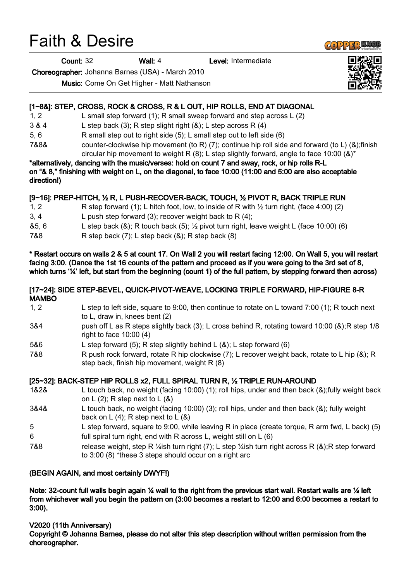# Faith & Desire

Count: 32 Wall: 4 Level: Intermediate

Choreographer: Johanna Barnes (USA) - March 2010

Music: Come On Get Higher - Matt Nathanson

## [1~8&]: STEP, CROSS, ROCK & CROSS, R & L OUT, HIP ROLLS, END AT DIAGONAL

- 1, 2 L small step forward (1); R small sweep forward and step across L (2)
- 3 & 4 L step back (3); R step slight right (&); L step across R (4)
- 5, 6 R small step out to right side (5); L small step out to left side (6)
- 7&8& counter-clockwise hip movement (to R) (7); continue hip roll side and forward (to L) (&);finish circular hip movement to weight R  $(8)$ ; L step slightly forward, angle to face 10:00  $(8)^*$

\*alternatively, dancing with the music/verses: hold on count 7 and sway, rock, or hip rolls R-L on "& 8," finishing with weight on L, on the diagonal, to face 10:00 (11:00 and 5:00 are also acceptable direction!)

## [9~16]: PREP-HITCH, ½ R, L PUSH-RECOVER-BACK, TOUCH, ½ PIVOT R, BACK TRIPLE RUN

| 1, 2  | R step forward (1); L hitch foot, low, to inside of R with $\frac{1}{2}$ turn right, (face 4:00) (2) |
|-------|------------------------------------------------------------------------------------------------------|
| 3.4   | L push step forward (3); recover weight back to R $(4)$ ;                                            |
| &5, 6 | L step back (&); R touch back (5); $\frac{1}{2}$ pivot turn right, leave weight L (face 10:00) (6)   |
| 7&8   | R step back $(7)$ ; L step back $(8)$ ; R step back $(8)$                                            |

\* Restart occurs on walls 2 & 5 at count 17. On Wall 2 you will restart facing 12:00. On Wall 5, you will restart facing 3:00. (Dance the 1st 16 counts of the pattern and proceed as if you were going to the 3rd set of 8, which turns '%' left, but start from the beginning (count 1) of the full pattern, by stepping forward then across)

#### [17~24]: SIDE STEP-BEVEL, QUICK-PIVOT-WEAVE, LOCKING TRIPLE FORWARD, HIP-FIGURE 8-R MAMBO

- 1, 2 L step to left side, square to 9:00, then continue to rotate on L toward 7:00 (1); R touch next to L, draw in, knees bent (2)
- 3&4 push off L as R steps slightly back (3); L cross behind R, rotating toward 10:00 (&);R step 1/8 right to face 10:00 (4)
- 5&6 L step forward (5); R step slightly behind L (&); L step forward (6)
- 7&8 R push rock forward, rotate R hip clockwise (7); L recover weight back, rotate to L hip (&); R step back, finish hip movement, weight R (8)

# [25~32]: BACK-STEP HIP ROLLS x2, FULL SPIRAL TURN R, ½ TRIPLE RUN-AROUND

- 1&2& L touch back, no weight (facing 10:00) (1); roll hips, under and then back (&);fully weight back on  $L(2)$ ; R step next to  $L(8)$
- 3&4& L touch back, no weight (facing 10:00) (3); roll hips, under and then back (&); fully weight back on  $L(4)$ ; R step next to  $L(8)$
- 5 L step forward, square to 9:00, while leaving R in place (create torque, R arm fwd, L back) (5) 6 full spiral turn right, end with R across L, weight still on L (6)
- 7&8 release weight, step R ¼ish turn right (7); L step ¼ish turn right across R (&);R step forward to 3:00 (8) \*these 3 steps should occur on a right arc

## (BEGIN AGAIN, and most certainly DWYF!)

Note: 32-count full walls begin again  $\frac{1}{4}$  wall to the right from the previous start wall. Restart walls are  $\frac{1}{4}$  left from whichever wall you begin the pattern on (3:00 becomes a restart to 12:00 and 6:00 becomes a restart to 3:00).

## V2020 (11th Anniversary)

Copyright © Johanna Barnes, please do not alter this step description without written permission from the choreographer.